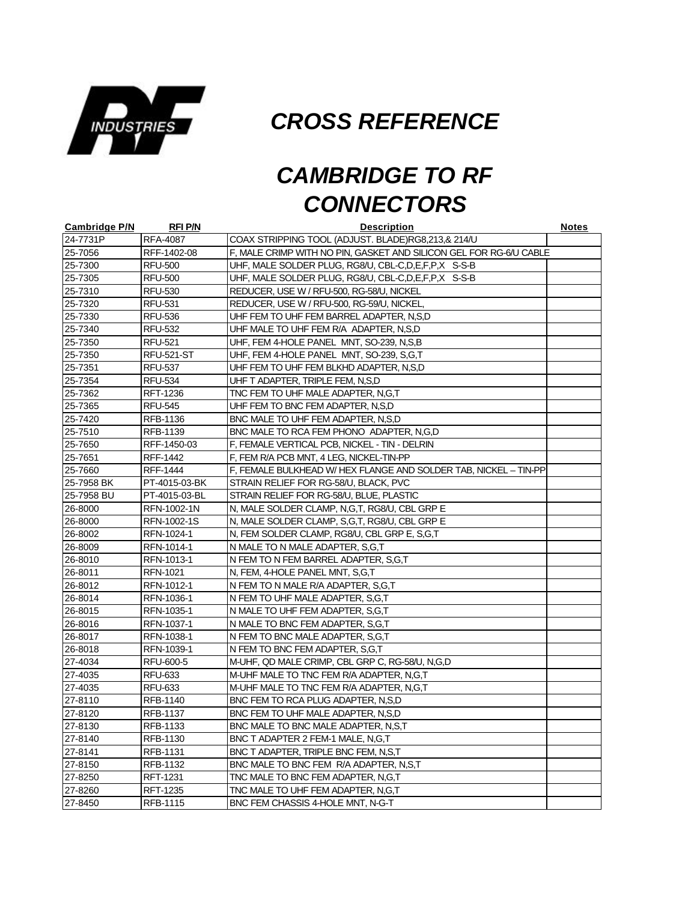

*CROSS REFERENCE*

## *CAMBRIDGE TO RF CONNECTORS*

| <b>Cambridge P/N</b> | <b>RFI P/N</b>    | <b>Description</b>                                                 | <b>Notes</b> |
|----------------------|-------------------|--------------------------------------------------------------------|--------------|
| 24-7731P             | <b>RFA-4087</b>   | COAX STRIPPING TOOL (ADJUST. BLADE)RG8,213,& 214/U                 |              |
| 25-7056              | RFF-1402-08       | F, MALE CRIMP WITH NO PIN, GASKET AND SILICON GEL FOR RG-6/U CABLE |              |
| 25-7300              | <b>RFU-500</b>    | UHF, MALE SOLDER PLUG, RG8/U, CBL-C, D, E, F, P, X S-S-B           |              |
| 25-7305              | <b>RFU-500</b>    | UHF, MALE SOLDER PLUG, RG8/U, CBL-C, D, E, F, P, X S-S-B           |              |
| 25-7310              | <b>RFU-530</b>    | REDUCER, USE W / RFU-500, RG-58/U, NICKEL                          |              |
| 25-7320              | <b>RFU-531</b>    | REDUCER, USE W / RFU-500, RG-59/U, NICKEL                          |              |
| 25-7330              | <b>RFU-536</b>    | UHF FEM TO UHF FEM BARREL ADAPTER, N,S,D                           |              |
| 25-7340              | <b>RFU-532</b>    | UHF MALE TO UHF FEM R/A ADAPTER, N,S,D                             |              |
| 25-7350              | <b>RFU-521</b>    | UHF, FEM 4-HOLE PANEL MNT, SO-239, N,S,B                           |              |
| 25-7350              | <b>RFU-521-ST</b> | UHF, FEM 4-HOLE PANEL MNT, SO-239, S,G,T                           |              |
| 25-7351              | <b>RFU-537</b>    | UHF FEM TO UHF FEM BLKHD ADAPTER, N,S,D                            |              |
| 25-7354              | <b>RFU-534</b>    | UHF T ADAPTER, TRIPLE FEM, N,S,D                                   |              |
| 25-7362              | RFT-1236          | TNC FEM TO UHF MALE ADAPTER, N,G,T                                 |              |
| 25-7365              | <b>RFU-545</b>    | UHF FEM TO BNC FEM ADAPTER, N,S,D                                  |              |
| 25-7420              | RFB-1136          | BNC MALE TO UHF FEM ADAPTER, N.S.D                                 |              |
| 25-7510              | RFB-1139          | BNC MALE TO RCA FEM PHONO ADAPTER, N.G.D                           |              |
| 25-7650              | RFF-1450-03       | F, FEMALE VERTICAL PCB, NICKEL - TIN - DELRIN                      |              |
| 25-7651              | RFF-1442          | F, FEM R/A PCB MNT, 4 LEG, NICKEL-TIN-PP                           |              |
| 25-7660              | RFF-1444          | F, FEMALE BULKHEAD W/HEX FLANGE AND SOLDER TAB, NICKEL - TIN-PP    |              |
| 25-7958 BK           | PT-4015-03-BK     | STRAIN RELIEF FOR RG-58/U, BLACK, PVC                              |              |
| 25-7958 BU           | PT-4015-03-BL     | STRAIN RELIEF FOR RG-58/U, BLUE, PLASTIC                           |              |
| 26-8000              | RFN-1002-1N       | N, MALE SOLDER CLAMP, N,G,T, RG8/U, CBL GRP E                      |              |
| 26-8000              | RFN-1002-1S       | N, MALE SOLDER CLAMP, S,G,T, RG8/U, CBL GRP E                      |              |
| 26-8002              | RFN-1024-1        | N, FEM SOLDER CLAMP, RG8/U, CBL GRP E, S,G,T                       |              |
| 26-8009              | RFN-1014-1        | N MALE TO N MALE ADAPTER, S,G,T                                    |              |
| 26-8010              | RFN-1013-1        | N FEM TO N FEM BARREL ADAPTER, S,G,T                               |              |
| 26-8011              | RFN-1021          | N, FEM, 4-HOLE PANEL MNT, S,G,T                                    |              |
| 26-8012              | RFN-1012-1        | N FEM TO N MALE R/A ADAPTER, S,G,T                                 |              |
| 26-8014              | RFN-1036-1        | N FEM TO UHF MALE ADAPTER, S,G,T                                   |              |
| 26-8015              | RFN-1035-1        | N MALE TO UHF FEM ADAPTER, S.G.T                                   |              |
| 26-8016              | RFN-1037-1        | N MALE TO BNC FEM ADAPTER, S,G,T                                   |              |
| 26-8017              | RFN-1038-1        | N FEM TO BNC MALE ADAPTER, S.G.T                                   |              |
| 26-8018              | RFN-1039-1        | N FEM TO BNC FEM ADAPTER, S,G,T                                    |              |
| 27-4034              | RFU-600-5         | M-UHF, QD MALE CRIMP, CBL GRP C, RG-58/U, N,G,D                    |              |
| 27-4035              | <b>RFU-633</b>    | M-UHF MALE TO TNC FEM R/A ADAPTER, N,G,T                           |              |
| 27-4035              | <b>RFU-633</b>    | M-UHF MALE TO TNC FEM R/A ADAPTER, N,G,T                           |              |
| 27-8110              | RFB-1140          | BNC FEM TO RCA PLUG ADAPTER, N,S,D                                 |              |
| 27-8120              | <b>RFB-1137</b>   | BNC FEM TO UHF MALE ADAPTER, N,S,D                                 |              |
| 27-8130              | RFB-1133          | BNC MALE TO BNC MALE ADAPTER, N,S,T                                |              |
| 27-8140              | RFB-1130          | BNC T ADAPTER 2 FEM-1 MALE, N,G,T                                  |              |
| 27-8141              | RFB-1131          | BNC T ADAPTER, TRIPLE BNC FEM, N,S,T                               |              |
| 27-8150              | RFB-1132          | BNC MALE TO BNC FEM R/A ADAPTER, N,S,T                             |              |
| 27-8250              | RFT-1231          | TNC MALE TO BNC FEM ADAPTER, N,G,T                                 |              |
| 27-8260              | <b>RFT-1235</b>   | TNC MALE TO UHF FEM ADAPTER, N,G,T                                 |              |
| 27-8450              | RFB-1115          | BNC FEM CHASSIS 4-HOLE MNT, N-G-T                                  |              |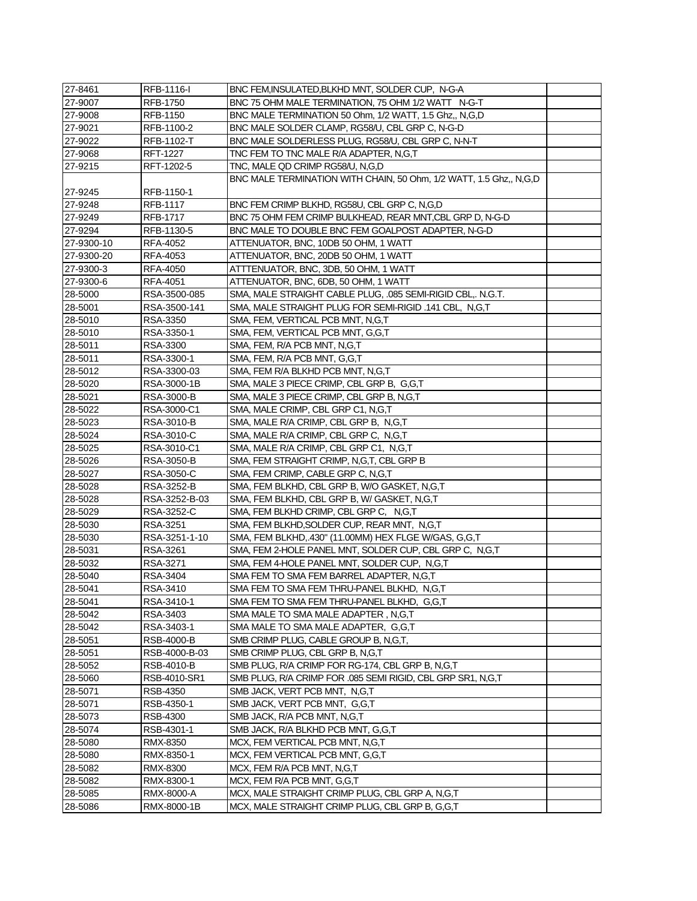| 27-8461    | RFB-1116-I      | BNC FEM, INSULATED, BLKHD MNT, SOLDER CUP, N-G-A                   |  |
|------------|-----------------|--------------------------------------------------------------------|--|
| 27-9007    | <b>RFB-1750</b> | BNC 75 OHM MALE TERMINATION, 75 OHM 1/2 WATT N-G-T                 |  |
| 27-9008    | RFB-1150        | BNC MALE TERMINATION 50 Ohm, 1/2 WATT, 1.5 Ghz,, N,G,D             |  |
| 27-9021    | RFB-1100-2      | BNC MALE SOLDER CLAMP, RG58/U, CBL GRP C, N-G-D                    |  |
| 27-9022    | RFB-1102-T      | BNC MALE SOLDERLESS PLUG, RG58/U, CBL GRP C, N-N-T                 |  |
| 27-9068    | <b>RFT-1227</b> | TNC FEM TO TNC MALE R/A ADAPTER, N,G,T                             |  |
| 27-9215    | RFT-1202-5      | TNC, MALE QD CRIMP RG58/U, N,G,D                                   |  |
|            |                 | BNC MALE TERMINATION WITH CHAIN, 50 Ohm, 1/2 WATT, 1.5 Ghz,, N,G,D |  |
| 27-9245    | RFB-1150-1      |                                                                    |  |
| 27-9248    | RFB-1117        | BNC FEM CRIMP BLKHD, RG58U, CBL GRP C, N,G,D                       |  |
| 27-9249    | <b>RFB-1717</b> | BNC 75 OHM FEM CRIMP BULKHEAD, REAR MNT, CBL GRP D, N-G-D          |  |
| 27-9294    | RFB-1130-5      | BNC MALE TO DOUBLE BNC FEM GOALPOST ADAPTER, N-G-D                 |  |
| 27-9300-10 | RFA-4052        | ATTENUATOR, BNC, 10DB 50 OHM, 1 WATT                               |  |
| 27-9300-20 | RFA-4053        | ATTENUATOR, BNC, 20DB 50 OHM, 1 WATT                               |  |
| 27-9300-3  | RFA-4050        | ATTTENUATOR, BNC, 3DB, 50 OHM, 1 WATT                              |  |
| 27-9300-6  | RFA-4051        | ATTENUATOR, BNC, 6DB, 50 OHM, 1 WATT                               |  |
| 28-5000    | RSA-3500-085    | SMA, MALE STRAIGHT CABLE PLUG, .085 SEMI-RIGID CBL,. N.G.T.        |  |
| 28-5001    | RSA-3500-141    | SMA, MALE STRAIGHT PLUG FOR SEMI-RIGID .141 CBL, N,G,T             |  |
| 28-5010    | RSA-3350        | SMA, FEM, VERTICAL PCB MNT, N,G,T                                  |  |
| 28-5010    | RSA-3350-1      | SMA, FEM, VERTICAL PCB MNT, G,G,T                                  |  |
| 28-5011    | RSA-3300        | SMA, FEM, R/A PCB MNT, N,G,T                                       |  |
| 28-5011    | RSA-3300-1      | SMA, FEM, R/A PCB MNT, G,G,T                                       |  |
| 28-5012    | RSA-3300-03     | SMA, FEM R/A BLKHD PCB MNT, N,G,T                                  |  |
| 28-5020    | RSA-3000-1B     | SMA, MALE 3 PIECE CRIMP, CBL GRP B, G,G,T                          |  |
| 28-5021    | RSA-3000-B      | SMA, MALE 3 PIECE CRIMP, CBL GRP B, N,G,T                          |  |
| 28-5022    | RSA-3000-C1     | SMA, MALE CRIMP, CBL GRP C1, N,G,T                                 |  |
| 28-5023    | RSA-3010-B      | SMA, MALE R/A CRIMP, CBL GRP B, N,G,T                              |  |
| 28-5024    | RSA-3010-C      | SMA, MALE R/A CRIMP, CBL GRP C, N,G,T                              |  |
| 28-5025    | RSA-3010-C1     | SMA, MALE R/A CRIMP, CBL GRP C1, N,G,T                             |  |
| 28-5026    | RSA-3050-B      | SMA, FEM STRAIGHT CRIMP, N,G,T, CBL GRP B                          |  |
| 28-5027    | RSA-3050-C      | SMA, FEM CRIMP, CABLE GRP C, N,G,T                                 |  |
| 28-5028    | RSA-3252-B      | SMA, FEM BLKHD, CBL GRP B, W/O GASKET, N,G,T                       |  |
| 28-5028    | RSA-3252-B-03   | SMA, FEM BLKHD, CBL GRP B, W/ GASKET, N,G,T                        |  |
| 28-5029    | RSA-3252-C      | SMA, FEM BLKHD CRIMP, CBL GRP C, N,G,T                             |  |
| 28-5030    | RSA-3251        | SMA, FEM BLKHD, SOLDER CUP, REAR MNT, N, G, T                      |  |
| 28-5030    | RSA-3251-1-10   | SMA, FEM BLKHD, 430" (11.00MM) HEX FLGE W/GAS, G,G,T               |  |
| 28-5031    | RSA-3261        | SMA, FEM 2-HOLE PANEL MNT, SOLDER CUP, CBL GRP C, N,G,T            |  |
| 28-5032    | RSA-3271        | SMA, FEM 4-HOLE PANEL MNT, SOLDER CUP, N,G,T                       |  |
| 28-5040    | RSA-3404        | SMA FEM TO SMA FEM BARREL ADAPTER, N,G,T                           |  |
| 28-5041    | RSA-3410        | SMA FEM TO SMA FEM THRU-PANEL BLKHD, N,G,T                         |  |
| 28-5041    | RSA-3410-1      | SMA FEM TO SMA FEM THRU-PANEL BLKHD, G,G,T                         |  |
| 28-5042    | RSA-3403        | SMA MALE TO SMA MALE ADAPTER, N,G,T                                |  |
| 28-5042    | RSA-3403-1      | SMA MALE TO SMA MALE ADAPTER, G,G,T                                |  |
| 28-5051    | RSB-4000-B      | SMB CRIMP PLUG, CABLE GROUP B, N,G,T,                              |  |
| 28-5051    | RSB-4000-B-03   | SMB CRIMP PLUG, CBL GRP B, N,G,T                                   |  |
| 28-5052    | RSB-4010-B      | SMB PLUG, R/A CRIMP FOR RG-174, CBL GRP B, N,G,T                   |  |
| 28-5060    | RSB-4010-SR1    | SMB PLUG, R/A CRIMP FOR .085 SEMI RIGID, CBL GRP SR1, N,G,T        |  |
| 28-5071    | RSB-4350        | SMB JACK, VERT PCB MNT, N,G,T                                      |  |
| 28-5071    | RSB-4350-1      | SMB JACK, VERT PCB MNT, G,G,T                                      |  |
| 28-5073    | RSB-4300        | SMB JACK, R/A PCB MNT, N,G,T                                       |  |
| 28-5074    | RSB-4301-1      | SMB JACK, R/A BLKHD PCB MNT, G,G,T                                 |  |
| 28-5080    | RMX-8350        | MCX, FEM VERTICAL PCB MNT, N,G,T                                   |  |
| 28-5080    | RMX-8350-1      | MCX, FEM VERTICAL PCB MNT, G,G,T                                   |  |
| 28-5082    | RMX-8300        | MCX, FEM R/A PCB MNT, N,G,T                                        |  |
| 28-5082    | RMX-8300-1      | MCX, FEM R/A PCB MNT, G,G,T                                        |  |
| 28-5085    | RMX-8000-A      | MCX, MALE STRAIGHT CRIMP PLUG, CBL GRP A, N, G, T                  |  |
| 28-5086    | RMX-8000-1B     | MCX, MALE STRAIGHT CRIMP PLUG, CBL GRP B, G,G,T                    |  |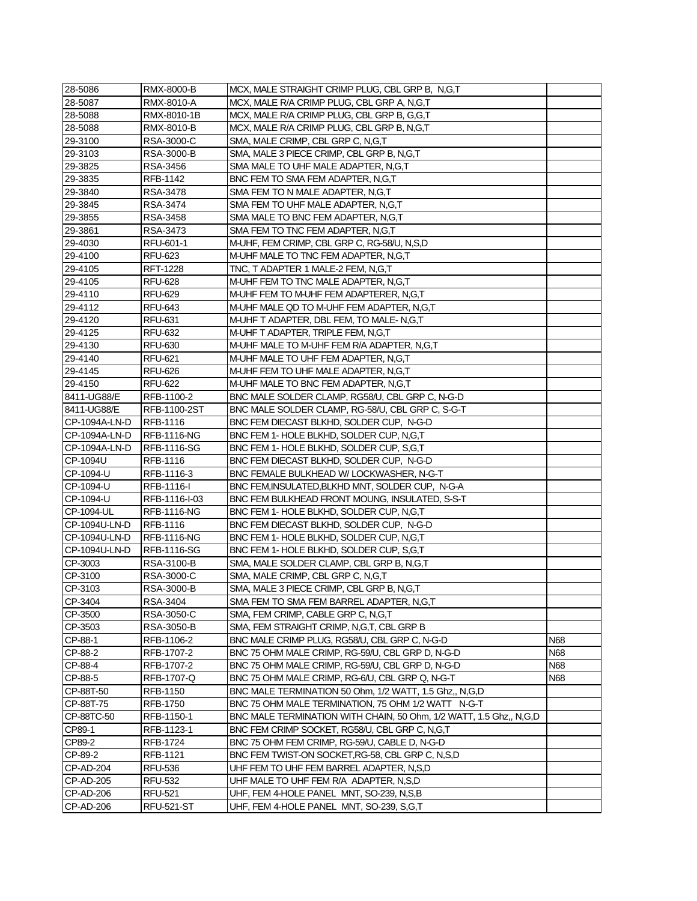| 28-5086                | RMX-8000-B             | MCX, MALE STRAIGHT CRIMP PLUG, CBL GRP B, N,G,T                                                              |            |
|------------------------|------------------------|--------------------------------------------------------------------------------------------------------------|------------|
| 28-5087                | RMX-8010-A             | MCX, MALE R/A CRIMP PLUG, CBL GRP A, N,G,T                                                                   |            |
| 28-5088                | RMX-8010-1B            | MCX, MALE R/A CRIMP PLUG, CBL GRP B, G,G,T                                                                   |            |
| 28-5088                | RMX-8010-B             | MCX, MALE R/A CRIMP PLUG, CBL GRP B, N,G,T                                                                   |            |
| 29-3100                | RSA-3000-C             | SMA, MALE CRIMP, CBL GRP C, N, G, T                                                                          |            |
| 29-3103                | RSA-3000-B             | SMA, MALE 3 PIECE CRIMP, CBL GRP B, N,G,T                                                                    |            |
| 29-3825                | RSA-3456               | SMA MALE TO UHF MALE ADAPTER, N,G,T                                                                          |            |
| 29-3835                | RFB-1142               | BNC FEM TO SMA FEM ADAPTER, N,G,T                                                                            |            |
| 29-3840                | RSA-3478               | SMA FEM TO N MALE ADAPTER, N,G,T                                                                             |            |
| 29-3845                | RSA-3474               | SMA FEM TO UHF MALE ADAPTER, N,G,T                                                                           |            |
| 29-3855                | RSA-3458               | SMA MALE TO BNC FEM ADAPTER, N,G,T                                                                           |            |
| 29-3861                | RSA-3473               | SMA FEM TO TNC FEM ADAPTER, N,G,T                                                                            |            |
| 29-4030                | RFU-601-1              | M-UHF, FEM CRIMP, CBL GRP C, RG-58/U, N,S,D                                                                  |            |
| 29-4100                | RFU-623                | M-UHF MALE TO TNC FEM ADAPTER, N,G,T                                                                         |            |
| 29-4105                | RFT-1228               | TNC, T ADAPTER 1 MALE-2 FEM, N,G,T                                                                           |            |
| 29-4105                | <b>RFU-628</b>         | M-UHF FEM TO TNC MALE ADAPTER, N,G,T                                                                         |            |
| 29-4110                | RFU-629                | M-UHF FEM TO M-UHF FEM ADAPTERER, N,G,T                                                                      |            |
| 29-4112                | RFU-643                | M-UHF MALE QD TO M-UHF FEM ADAPTER, N,G,T                                                                    |            |
| 29-4120                | <b>RFU-631</b>         | M-UHF T ADAPTER, DBL FEM, TO MALE-N,G,T                                                                      |            |
| 29-4125                | <b>RFU-632</b>         | M-UHF T ADAPTER, TRIPLE FEM, N,G,T                                                                           |            |
| 29-4130                | <b>RFU-630</b>         | M-UHF MALE TO M-UHF FEM R/A ADAPTER, N,G,T                                                                   |            |
| 29-4140                | RFU-621                | M-UHF MALE TO UHF FEM ADAPTER, N,G,T                                                                         |            |
| 29-4145                | <b>RFU-626</b>         | M-UHF FEM TO UHF MALE ADAPTER, N,G,T                                                                         |            |
| 29-4150                | <b>RFU-622</b>         | M-UHF MALE TO BNC FEM ADAPTER, N,G,T                                                                         |            |
| 8411-UG88/E            | RFB-1100-2             | BNC MALE SOLDER CLAMP, RG58/U, CBL GRP C, N-G-D                                                              |            |
| 8411-UG88/E            | RFB-1100-2ST           | BNC MALE SOLDER CLAMP, RG-58/U, CBL GRP C, S-G-T                                                             |            |
| CP-1094A-LN-D          | RFB-1116               | BNC FEM DIECAST BLKHD, SOLDER CUP, N-G-D                                                                     |            |
| CP-1094A-LN-D          | <b>RFB-1116-NG</b>     | BNC FEM 1- HOLE BLKHD, SOLDER CUP, N,G,T                                                                     |            |
| CP-1094A-LN-D          | RFB-1116-SG            | BNC FEM 1- HOLE BLKHD, SOLDER CUP, S.G.T                                                                     |            |
| CP-1094U               | RFB-1116               | BNC FEM DIECAST BLKHD, SOLDER CUP, N-G-D                                                                     |            |
| CP-1094-U              | RFB-1116-3             | BNC FEMALE BULKHEAD W/ LOCKWASHER, N-G-T                                                                     |            |
| CP-1094-U              | RFB-1116-I             | BNC FEM, INSULATED, BLKHD MNT, SOLDER CUP, N-G-A                                                             |            |
| CP-1094-U              | RFB-1116-I-03          | BNC FEM BULKHEAD FRONT MOUNG, INSULATED, S-S-T                                                               |            |
| CP-1094-UL             | <b>RFB-1116-NG</b>     | BNC FEM 1- HOLE BLKHD, SOLDER CUP, N,G,T                                                                     |            |
| CP-1094U-LN-D          | RFB-1116               | BNC FEM DIECAST BLKHD, SOLDER CUP, N-G-D                                                                     |            |
| CP-1094U-LN-D          | <b>RFB-1116-NG</b>     | BNC FEM 1- HOLE BLKHD, SOLDER CUP, N,G,T                                                                     |            |
| CP-1094U-LN-D          | <b>RFB-1116-SG</b>     | BNC FEM 1- HOLE BLKHD, SOLDER CUP, S.G.T                                                                     |            |
| CP-3003                | RSA-3100-B             | SMA, MALE SOLDER CLAMP, CBL GRP B, N,G,T                                                                     |            |
| CP-3100                | RSA-3000-C             | SMA, MALE CRIMP, CBL GRP C, N,G,T                                                                            |            |
| CP-3103                | RSA-3000-B             | SMA, MALE 3 PIECE CRIMP, CBL GRP B, N, G, T                                                                  |            |
| CP-3404                | RSA-3404               | SMA FEM TO SMA FEM BARREL ADAPTER, N,G,T                                                                     |            |
| CP-3500                | RSA-3050-C             | SMA, FEM CRIMP, CABLE GRP C, N,G,T                                                                           |            |
| CP-3503<br>CP-88-1     | RSA-3050-B             | SMA, FEM STRAIGHT CRIMP, N,G,T, CBL GRP B                                                                    |            |
|                        | RFB-1106-2             | BNC MALE CRIMP PLUG, RG58/U, CBL GRP C, N-G-D                                                                | N68        |
| CP-88-2                | RFB-1707-2             | BNC 75 OHM MALE CRIMP, RG-59/U, CBL GRP D, N-G-D                                                             | <b>N68</b> |
| CP-88-4                | RFB-1707-2             | BNC 75 OHM MALE CRIMP, RG-59/U, CBL GRP D, N-G-D                                                             | N68        |
| CP-88-5                | RFB-1707-Q             | BNC 75 OHM MALE CRIMP, RG-6/U, CBL GRP Q, N-G-T                                                              | N68        |
| CP-88T-50<br>CP-88T-75 | RFB-1150               | BNC MALE TERMINATION 50 Ohm, 1/2 WATT, 1.5 Ghz,, N,G,D<br>BNC 75 OHM MALE TERMINATION, 75 OHM 1/2 WATT N-G-T |            |
| CP-88TC-50             | RFB-1750<br>RFB-1150-1 | BNC MALE TERMINATION WITH CHAIN, 50 Ohm, 1/2 WATT, 1.5 Ghz., N,G,D                                           |            |
| CP89-1                 | RFB-1123-1             | BNC FEM CRIMP SOCKET, RG58/U, CBL GRP C, N,G,T                                                               |            |
| CP89-2                 | RFB-1724               | BNC 75 OHM FEM CRIMP, RG-59/U, CABLE D, N-G-D                                                                |            |
| CP-89-2                | RFB-1121               | BNC FEM TWIST-ON SOCKET, RG-58, CBL GRP C, N, S, D                                                           |            |
| CP-AD-204              | RFU-536                | UHF FEM TO UHF FEM BARREL ADAPTER, N,S,D                                                                     |            |
| CP-AD-205              | RFU-532                | UHF MALE TO UHF FEM R/A ADAPTER, N,S,D                                                                       |            |
| CP-AD-206              | <b>RFU-521</b>         | UHF, FEM 4-HOLE PANEL MNT, SO-239, N,S,B                                                                     |            |
| CP-AD-206              | <b>RFU-521-ST</b>      | UHF, FEM 4-HOLE PANEL MNT, SO-239, S,G,T                                                                     |            |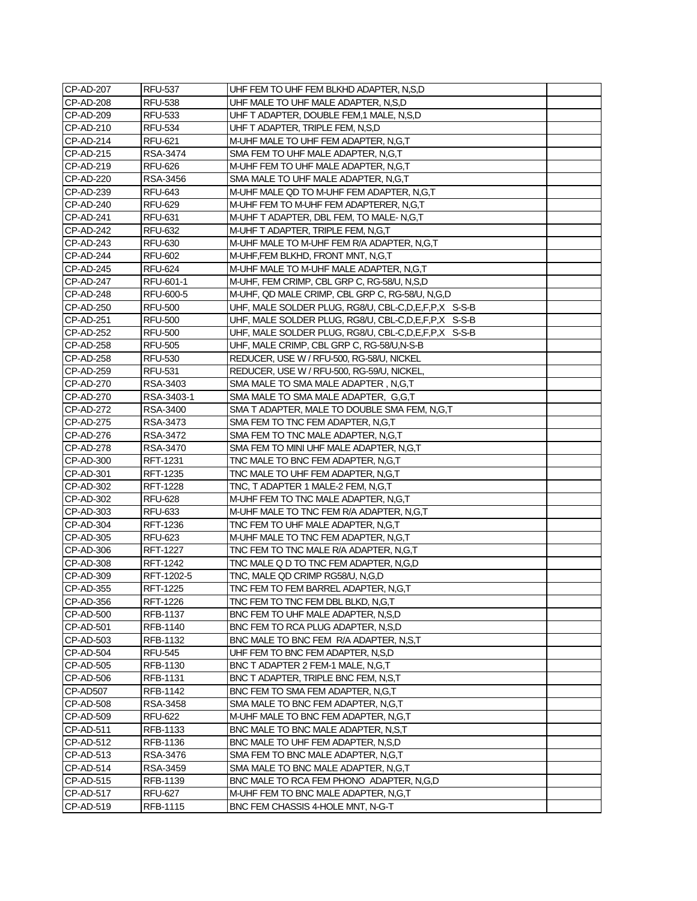| <b>CP-AD-207</b> | <b>RFU-537</b>  | UHF FEM TO UHF FEM BLKHD ADAPTER, N,S,D                  |  |
|------------------|-----------------|----------------------------------------------------------|--|
| <b>CP-AD-208</b> | <b>RFU-538</b>  | UHF MALE TO UHF MALE ADAPTER, N,S,D                      |  |
| CP-AD-209        | <b>RFU-533</b>  | UHF T ADAPTER, DOUBLE FEM,1 MALE, N,S,D                  |  |
| CP-AD-210        | <b>RFU-534</b>  | UHF T ADAPTER, TRIPLE FEM, N,S,D                         |  |
| CP-AD-214        | <b>RFU-621</b>  | M-UHF MALE TO UHF FEM ADAPTER, N.G.T                     |  |
| CP-AD-215        | RSA-3474        | SMA FEM TO UHF MALE ADAPTER, N,G,T                       |  |
| CP-AD-219        | <b>RFU-626</b>  | M-UHF FEM TO UHF MALE ADAPTER, N,G,T                     |  |
| CP-AD-220        | RSA-3456        | SMA MALE TO UHF MALE ADAPTER, N,G,T                      |  |
| CP-AD-239        | <b>RFU-643</b>  | M-UHF MALE QD TO M-UHF FEM ADAPTER, N,G,T                |  |
| CP-AD-240        | <b>RFU-629</b>  | M-UHF FEM TO M-UHF FEM ADAPTERER, N,G,T                  |  |
| CP-AD-241        | <b>RFU-631</b>  | M-UHF T ADAPTER, DBL FEM, TO MALE-N,G,T                  |  |
| <b>CP-AD-242</b> | <b>RFU-632</b>  | M-UHF T ADAPTER, TRIPLE FEM, N,G,T                       |  |
| CP-AD-243        | <b>RFU-630</b>  | M-UHF MALE TO M-UHF FEM R/A ADAPTER, N,G,T               |  |
| CP-AD-244        | <b>RFU-602</b>  | M-UHF, FEM BLKHD, FRONT MNT, N, G, T                     |  |
| <b>CP-AD-245</b> | <b>RFU-624</b>  | M-UHF MALE TO M-UHF MALE ADAPTER, N,G,T                  |  |
| CP-AD-247        | RFU-601-1       | M-UHF, FEM CRIMP, CBL GRP C, RG-58/U, N,S,D              |  |
| CP-AD-248        | RFU-600-5       | M-UHF, QD MALE CRIMP, CBL GRP C, RG-58/U, N,G,D          |  |
| CP-AD-250        | <b>RFU-500</b>  | UHF, MALE SOLDER PLUG, RG8/U, CBL-C, D, E, F, P, X S-S-B |  |
| CP-AD-251        | <b>RFU-500</b>  | UHF, MALE SOLDER PLUG, RG8/U, CBL-C, D, E, F, P, X S-S-B |  |
| <b>CP-AD-252</b> | <b>RFU-500</b>  | UHF, MALE SOLDER PLUG, RG8/U, CBL-C, D, E, F, P, X S-S-B |  |
| CP-AD-258        | <b>RFU-505</b>  | UHF, MALE CRIMP, CBL GRP C, RG-58/U,N-S-B                |  |
| CP-AD-258        | <b>RFU-530</b>  | REDUCER, USE W / RFU-500, RG-58/U, NICKEL                |  |
| CP-AD-259        | <b>RFU-531</b>  | REDUCER, USE W / RFU-500, RG-59/U, NICKEL,               |  |
| CP-AD-270        | RSA-3403        | SMA MALE TO SMA MALE ADAPTER, N,G,T                      |  |
| CP-AD-270        | RSA-3403-1      | SMA MALE TO SMA MALE ADAPTER, G,G,T                      |  |
| CP-AD-272        | RSA-3400        | SMA T ADAPTER, MALE TO DOUBLE SMA FEM, N,G,T             |  |
| CP-AD-275        | RSA-3473        | SMA FEM TO TNC FEM ADAPTER, N,G,T                        |  |
| CP-AD-276        | RSA-3472        | SMA FEM TO TNC MALE ADAPTER, N,G,T                       |  |
| CP-AD-278        | RSA-3470        | SMA FEM TO MINI UHF MALE ADAPTER, N,G,T                  |  |
| CP-AD-300        | RFT-1231        | TNC MALE TO BNC FEM ADAPTER, N,G,T                       |  |
| CP-AD-301        | RFT-1235        | TNC MALE TO UHF FEM ADAPTER, N,G,T                       |  |
| CP-AD-302        | <b>RFT-1228</b> | TNC, T ADAPTER 1 MALE-2 FEM, N,G,T                       |  |
| CP-AD-302        | <b>RFU-628</b>  | M-UHF FEM TO TNC MALE ADAPTER, N,G,T                     |  |
| CP-AD-303        | <b>RFU-633</b>  | M-UHF MALE TO TNC FEM R/A ADAPTER, N,G,T                 |  |
| CP-AD-304        | RFT-1236        | TNC FEM TO UHF MALE ADAPTER, N,G,T                       |  |
| CP-AD-305        | <b>RFU-623</b>  | M-UHF MALE TO TNC FEM ADAPTER, N,G,T                     |  |
| CP-AD-306        | RFT-1227        | TNC FEM TO TNC MALE R/A ADAPTER, N,G,T                   |  |
| CP-AD-308        | <b>RFT-1242</b> | TNC MALE Q D TO TNC FEM ADAPTER, N,G,D                   |  |
| CP-AD-309        | RFT-1202-5      | TNC, MALE QD CRIMP RG58/U, N,G,D                         |  |
| CP-AD-355        | RFT-1225        | TNC FEM TO FEM BARREL ADAPTER, N,G,T                     |  |
| CP-AD-356        | RFT-1226        | TNC FEM TO TNC FEM DBL BLKD, N,G,T                       |  |
| CP-AD-500        | RFB-1137        | BNC FEM TO UHF MALE ADAPTER, N,S,D                       |  |
| CP-AD-501        | RFB-1140        | BNC FEM TO RCA PLUG ADAPTER, N,S,D                       |  |
| CP-AD-503        | RFB-1132        | BNC MALE TO BNC FEM R/A ADAPTER, N,S,T                   |  |
| CP-AD-504        | <b>RFU-545</b>  | UHF FEM TO BNC FEM ADAPTER, N,S,D                        |  |
| CP-AD-505        | RFB-1130        | BNC T ADAPTER 2 FEM-1 MALE, N,G,T                        |  |
| CP-AD-506        | RFB-1131        | BNC T ADAPTER, TRIPLE BNC FEM, N,S,T                     |  |
| CP-AD507         | RFB-1142        | BNC FEM TO SMA FEM ADAPTER, N,G,T                        |  |
| CP-AD-508        | RSA-3458        | SMA MALE TO BNC FEM ADAPTER, N,G,T                       |  |
| CP-AD-509        | <b>RFU-622</b>  | M-UHF MALE TO BNC FEM ADAPTER, N,G,T                     |  |
| CP-AD-511        | RFB-1133        | BNC MALE TO BNC MALE ADAPTER, N,S,T                      |  |
| CP-AD-512        | RFB-1136        | BNC MALE TO UHF FEM ADAPTER, N,S,D                       |  |
| CP-AD-513        | RSA-3476        | SMA FEM TO BNC MALE ADAPTER, N,G,T                       |  |
| CP-AD-514        | RSA-3459        | SMA MALE TO BNC MALE ADAPTER, N,G,T                      |  |
| CP-AD-515        | RFB-1139        | BNC MALE TO RCA FEM PHONO ADAPTER, N,G,D                 |  |
| CP-AD-517        | RFU-627         | M-UHF FEM TO BNC MALE ADAPTER, N,G,T                     |  |
| CP-AD-519        | RFB-1115        | BNC FEM CHASSIS 4-HOLE MNT, N-G-T                        |  |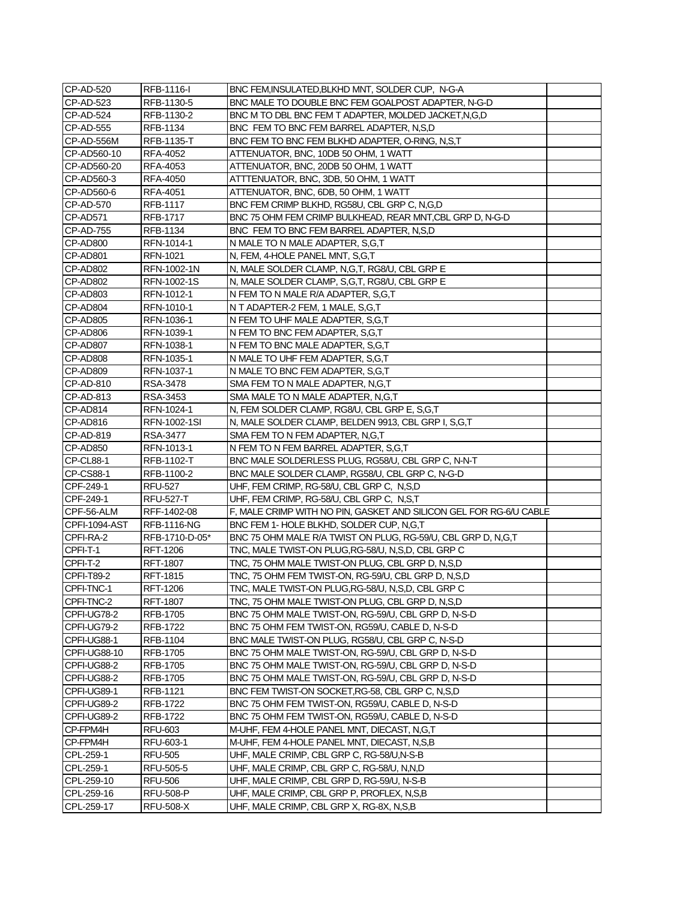| CP-AD-520            | RFB-1116-I         | BNC FEM, INSULATED, BLKHD MNT, SOLDER CUP, N-G-A                   |  |
|----------------------|--------------------|--------------------------------------------------------------------|--|
| CP-AD-523            | RFB-1130-5         | BNC MALE TO DOUBLE BNC FEM GOALPOST ADAPTER, N-G-D                 |  |
| CP-AD-524            | RFB-1130-2         | BNC M TO DBL BNC FEM T ADAPTER, MOLDED JACKET, N, G, D             |  |
| CP-AD-555            | RFB-1134           | BNC FEM TO BNC FEM BARREL ADAPTER, N,S,D                           |  |
| CP-AD-556M           | RFB-1135-T         | BNC FEM TO BNC FEM BLKHD ADAPTER, O-RING, N,S,T                    |  |
| CP-AD560-10          | RFA-4052           | ATTENUATOR, BNC, 10DB 50 OHM, 1 WATT                               |  |
| CP-AD560-20          | RFA-4053           | ATTENUATOR, BNC, 20DB 50 OHM, 1 WATT                               |  |
| CP-AD560-3           | RFA-4050           | ATTTENUATOR, BNC, 3DB, 50 OHM, 1 WATT                              |  |
| CP-AD560-6           | RFA-4051           | ATTENUATOR, BNC, 6DB, 50 OHM, 1 WATT                               |  |
| CP-AD-570            | RFB-1117           | BNC FEM CRIMP BLKHD, RG58U, CBL GRP C, N,G,D                       |  |
| CP-AD571             | <b>RFB-1717</b>    | BNC 75 OHM FEM CRIMP BULKHEAD, REAR MNT, CBL GRP D, N-G-D          |  |
| <b>CP-AD-755</b>     | RFB-1134           | BNC FEM TO BNC FEM BARREL ADAPTER, N,S,D                           |  |
| CP-AD800             | RFN-1014-1         | N MALE TO N MALE ADAPTER, S,G,T                                    |  |
| CP-AD801             | RFN-1021           | N, FEM, 4-HOLE PANEL MNT, S,G,T                                    |  |
| CP-AD802             | RFN-1002-1N        | N, MALE SOLDER CLAMP, N,G,T, RG8/U, CBL GRP E                      |  |
| CP-AD802             | RFN-1002-1S        | N, MALE SOLDER CLAMP, S,G,T, RG8/U, CBL GRP E                      |  |
| CP-AD803             | RFN-1012-1         | N FEM TO N MALE R/A ADAPTER, S,G,T                                 |  |
| CP-AD804             | RFN-1010-1         | N T ADAPTER-2 FEM, 1 MALE, S,G,T                                   |  |
| CP-AD805             | RFN-1036-1         | N FEM TO UHF MALE ADAPTER, S,G,T                                   |  |
| CP-AD806             | RFN-1039-1         | N FEM TO BNC FEM ADAPTER, S,G,T                                    |  |
| CP-AD807             | RFN-1038-1         | N FEM TO BNC MALE ADAPTER, S,G,T                                   |  |
| CP-AD808             | RFN-1035-1         | N MALE TO UHF FEM ADAPTER, S,G,T                                   |  |
| CP-AD809             | RFN-1037-1         | N MALE TO BNC FEM ADAPTER, S,G,T                                   |  |
| CP-AD-810            | RSA-3478           | SMA FEM TO N MALE ADAPTER, N,G,T                                   |  |
| CP-AD-813            | RSA-3453           | SMA MALE TO N MALE ADAPTER, N,G,T                                  |  |
| CP-AD814             | RFN-1024-1         | N, FEM SOLDER CLAMP, RG8/U, CBL GRP E, S,G,T                       |  |
| CP-AD816             | RFN-1002-1SI       | N, MALE SOLDER CLAMP, BELDEN 9913, CBL GRP I, S,G,T                |  |
| CP-AD-819            | RSA-3477           | SMA FEM TO N FEM ADAPTER, N,G,T                                    |  |
| CP-AD850             | RFN-1013-1         | N FEM TO N FEM BARREL ADAPTER, S,G,T                               |  |
| CP-CL88-1            | RFB-1102-T         | BNC MALE SOLDERLESS PLUG, RG58/U, CBL GRP C, N-N-T                 |  |
| CP-CS88-1            | RFB-1100-2         | BNC MALE SOLDER CLAMP, RG58/U, CBL GRP C, N-G-D                    |  |
| CPF-249-1            | <b>RFU-527</b>     | UHF, FEM CRIMP, RG-58/U, CBL GRP C, N,S,D                          |  |
| CPF-249-1            | <b>RFU-527-T</b>   | UHF, FEM CRIMP, RG-58/U, CBL GRP C, N,S,T                          |  |
| CPF-56-ALM           | RFF-1402-08        | F, MALE CRIMP WITH NO PIN, GASKET AND SILICON GEL FOR RG-6/U CABLE |  |
| <b>CPFI-1094-AST</b> | <b>RFB-1116-NG</b> | BNC FEM 1- HOLE BLKHD, SOLDER CUP, N.G.T                           |  |
| CPFI-RA-2            | RFB-1710-D-05*     | BNC 75 OHM MALE R/A TWIST ON PLUG, RG-59/U, CBL GRP D, N,G,T       |  |
| CPFI-T-1             | RFT-1206           | TNC, MALE TWIST-ON PLUG, RG-58/U, N, S, D, CBL GRP C               |  |
| CPFI-T-2             | RFT-1807           | TNC, 75 OHM MALE TWIST-ON PLUG, CBL GRP D, N,S,D                   |  |
| <b>CPFI-T89-2</b>    | RFT-1815           | TNC, 75 OHM FEM TWIST-ON, RG-59/U, CBL GRP D, N,S,D                |  |
| CPFI-TNC-1           | RFT-1206           | TNC, MALE TWIST-ON PLUG, RG-58/U, N, S, D, CBL GRP C               |  |
| CPFI-TNC-2           | <b>RFT-1807</b>    | TNC, 75 OHM MALE TWIST-ON PLUG, CBL GRP D, N,S,D                   |  |
| CPFI-UG78-2          | RFB-1705           | BNC 75 OHM MALE TWIST-ON, RG-59/U, CBL GRP D, N-S-D                |  |
| CPFI-UG79-2          | RFB-1722           | BNC 75 OHM FEM TWIST-ON, RG59/U, CABLE D, N-S-D                    |  |
| CPFI-UG88-1          | RFB-1104           | BNC MALE TWIST-ON PLUG, RG58/U, CBL GRP C, N-S-D                   |  |
| CPFI-UG88-10         | RFB-1705           | BNC 75 OHM MALE TWIST-ON, RG-59/U, CBL GRP D, N-S-D                |  |
| CPFI-UG88-2          | RFB-1705           | BNC 75 OHM MALE TWIST-ON, RG-59/U, CBL GRP D, N-S-D                |  |
| CPFI-UG88-2          | RFB-1705           | BNC 75 OHM MALE TWIST-ON, RG-59/U, CBL GRP D, N-S-D                |  |
| CPFI-UG89-1          | RFB-1121           | BNC FEM TWIST-ON SOCKET, RG-58, CBL GRP C, N,S,D                   |  |
| CPFI-UG89-2          | RFB-1722           | BNC 75 OHM FEM TWIST-ON, RG59/U, CABLE D, N-S-D                    |  |
| CPFI-UG89-2          | RFB-1722           | BNC 75 OHM FEM TWIST-ON, RG59/U, CABLE D, N-S-D                    |  |
| CP-FPM4H             | <b>RFU-603</b>     | M-UHF, FEM 4-HOLE PANEL MNT, DIECAST, N,G,T                        |  |
| CP-FPM4H             | RFU-603-1          | M-UHF, FEM 4-HOLE PANEL MNT, DIECAST, N,S,B                        |  |
| CPL-259-1            | <b>RFU-505</b>     | UHF, MALE CRIMP, CBL GRP C, RG-58/U,N-S-B                          |  |
| CPL-259-1            | RFU-505-5          | UHF, MALE CRIMP, CBL GRP C, RG-58/U, N,N,D                         |  |
| CPL-259-10           | RFU-506            | UHF, MALE CRIMP, CBL GRP D, RG-59/U, N-S-B                         |  |
| CPL-259-16           | <b>RFU-508-P</b>   | UHF, MALE CRIMP, CBL GRP P, PROFLEX, N,S,B                         |  |
| CPL-259-17           | <b>RFU-508-X</b>   | UHF, MALE CRIMP, CBL GRP X, RG-8X, N,S,B                           |  |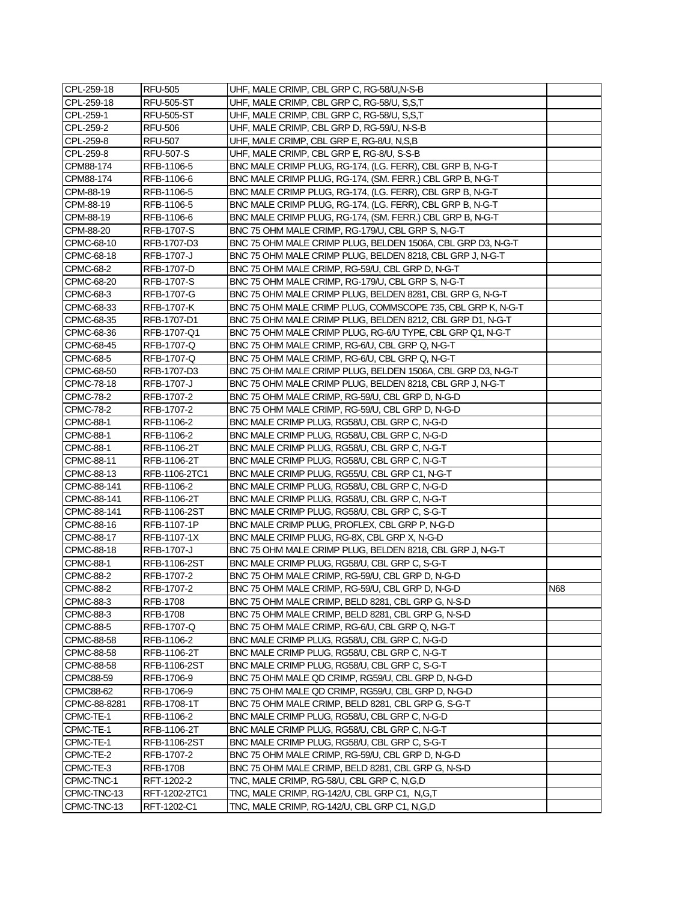| CPL-259-18       | <b>RFU-505</b>    | UHF, MALE CRIMP, CBL GRP C, RG-58/U,N-S-B                   |     |
|------------------|-------------------|-------------------------------------------------------------|-----|
| CPL-259-18       | <b>RFU-505-ST</b> | UHF, MALE CRIMP, CBL GRP C, RG-58/U, S,S,T                  |     |
| CPL-259-1        | <b>RFU-505-ST</b> | UHF, MALE CRIMP, CBL GRP C, RG-58/U, S,S,T                  |     |
| CPL-259-2        | <b>RFU-506</b>    | UHF, MALE CRIMP, CBL GRP D, RG-59/U, N-S-B                  |     |
| CPL-259-8        | <b>RFU-507</b>    | UHF, MALE CRIMP, CBL GRP E, RG-8/U, N,S,B                   |     |
| CPL-259-8        | RFU-507-S         | UHF, MALE CRIMP, CBL GRP E, RG-8/U, S-S-B                   |     |
| CPM88-174        | RFB-1106-5        | BNC MALE CRIMP PLUG, RG-174, (LG. FERR), CBL GRP B, N-G-T   |     |
| CPM88-174        | RFB-1106-6        | BNC MALE CRIMP PLUG, RG-174, (SM. FERR.) CBL GRP B, N-G-T   |     |
| CPM-88-19        | RFB-1106-5        | BNC MALE CRIMP PLUG, RG-174, (LG. FERR), CBL GRP B, N-G-T   |     |
| CPM-88-19        | RFB-1106-5        | BNC MALE CRIMP PLUG, RG-174, (LG. FERR), CBL GRP B, N-G-T   |     |
| CPM-88-19        | RFB-1106-6        | BNC MALE CRIMP PLUG, RG-174, (SM. FERR.) CBL GRP B, N-G-T   |     |
| CPM-88-20        | RFB-1707-S        | BNC 75 OHM MALE CRIMP, RG-179/U, CBL GRP S, N-G-T           |     |
| CPMC-68-10       | RFB-1707-D3       | BNC 75 OHM MALE CRIMP PLUG, BELDEN 1506A, CBL GRP D3, N-G-T |     |
| CPMC-68-18       | RFB-1707-J        | BNC 75 OHM MALE CRIMP PLUG, BELDEN 8218, CBL GRP J, N-G-T   |     |
| CPMC-68-2        | RFB-1707-D        | BNC 75 OHM MALE CRIMP, RG-59/U, CBL GRP D, N-G-T            |     |
| CPMC-68-20       | RFB-1707-S        | BNC 75 OHM MALE CRIMP, RG-179/U, CBL GRP S, N-G-T           |     |
| CPMC-68-3        | RFB-1707-G        | BNC 75 OHM MALE CRIMP PLUG, BELDEN 8281, CBL GRP G, N-G-T   |     |
| CPMC-68-33       | RFB-1707-K        | BNC 75 OHM MALE CRIMP PLUG, COMMSCOPE 735, CBL GRP K, N-G-T |     |
| CPMC-68-35       | RFB-1707-D1       | BNC 75 OHM MALE CRIMP PLUG, BELDEN 8212, CBL GRP D1, N-G-T  |     |
| CPMC-68-36       | RFB-1707-Q1       | BNC 75 OHM MALE CRIMP PLUG, RG-6/U TYPE, CBL GRP Q1, N-G-T  |     |
| CPMC-68-45       | RFB-1707-Q        | BNC 75 OHM MALE CRIMP, RG-6/U, CBL GRP Q, N-G-T             |     |
| CPMC-68-5        | RFB-1707-Q        | BNC 75 OHM MALE CRIMP, RG-6/U, CBL GRP Q, N-G-T             |     |
| CPMC-68-50       | RFB-1707-D3       | BNC 75 OHM MALE CRIMP PLUG, BELDEN 1506A, CBL GRP D3, N-G-T |     |
| CPMC-78-18       | RFB-1707-J        | BNC 75 OHM MALE CRIMP PLUG, BELDEN 8218, CBL GRP J, N-G-T   |     |
| CPMC-78-2        | RFB-1707-2        | BNC 75 OHM MALE CRIMP, RG-59/U, CBL GRP D, N-G-D            |     |
| CPMC-78-2        | RFB-1707-2        | BNC 75 OHM MALE CRIMP, RG-59/U, CBL GRP D, N-G-D            |     |
| <b>CPMC-88-1</b> | RFB-1106-2        | BNC MALE CRIMP PLUG, RG58/U, CBL GRP C, N-G-D               |     |
| <b>CPMC-88-1</b> | RFB-1106-2        | BNC MALE CRIMP PLUG, RG58/U, CBL GRP C, N-G-D               |     |
| <b>CPMC-88-1</b> | RFB-1106-2T       | BNC MALE CRIMP PLUG, RG58/U, CBL GRP C, N-G-T               |     |
| CPMC-88-11       | RFB-1106-2T       | BNC MALE CRIMP PLUG, RG58/U, CBL GRP C, N-G-T               |     |
| CPMC-88-13       | RFB-1106-2TC1     | BNC MALE CRIMP PLUG, RG55/U, CBL GRP C1, N-G-T              |     |
| CPMC-88-141      | RFB-1106-2        | BNC MALE CRIMP PLUG, RG58/U, CBL GRP C, N-G-D               |     |
| CPMC-88-141      | RFB-1106-2T       | BNC MALE CRIMP PLUG, RG58/U, CBL GRP C, N-G-T               |     |
| CPMC-88-141      | RFB-1106-2ST      | BNC MALE CRIMP PLUG, RG58/U, CBL GRP C, S-G-T               |     |
| CPMC-88-16       | RFB-1107-1P       | BNC MALE CRIMP PLUG, PROFLEX, CBL GRP P, N-G-D              |     |
| CPMC-88-17       | RFB-1107-1X       | BNC MALE CRIMP PLUG, RG-8X, CBL GRP X, N-G-D                |     |
| CPMC-88-18       | RFB-1707-J        | BNC 75 OHM MALE CRIMP PLUG, BELDEN 8218, CBL GRP J, N-G-T   |     |
| <b>CPMC-88-1</b> | RFB-1106-2ST      | BNC MALE CRIMP PLUG, RG58/U, CBL GRP C, S-G-T               |     |
| CPMC-88-2        | RFB-1707-2        | BNC 75 OHM MALE CRIMP, RG-59/U, CBL GRP D, N-G-D            |     |
| <b>CPMC-88-2</b> | RFB-1707-2        | BNC 75 OHM MALE CRIMP, RG-59/U, CBL GRP D, N-G-D            | N68 |
| CPMC-88-3        | RFB-1708          | BNC 75 OHM MALE CRIMP, BELD 8281, CBL GRP G, N-S-D          |     |
| CPMC-88-3        | RFB-1708          | BNC 75 OHM MALE CRIMP, BELD 8281, CBL GRP G, N-S-D          |     |
| <b>CPMC-88-5</b> | RFB-1707-Q        | BNC 75 OHM MALE CRIMP, RG-6/U, CBL GRP Q, N-G-T             |     |
| CPMC-88-58       | RFB-1106-2        | BNC MALE CRIMP PLUG, RG58/U, CBL GRP C, N-G-D               |     |
| CPMC-88-58       | RFB-1106-2T       | BNC MALE CRIMP PLUG, RG58/U, CBL GRP C, N-G-T               |     |
| CPMC-88-58       | RFB-1106-2ST      | BNC MALE CRIMP PLUG, RG58/U, CBL GRP C, S-G-T               |     |
| CPMC88-59        | RFB-1706-9        | BNC 75 OHM MALE QD CRIMP, RG59/U, CBL GRP D, N-G-D          |     |
| <b>CPMC88-62</b> | RFB-1706-9        | BNC 75 OHM MALE QD CRIMP, RG59/U, CBL GRP D, N-G-D          |     |
| CPMC-88-8281     | RFB-1708-1T       | BNC 75 OHM MALE CRIMP, BELD 8281, CBL GRP G, S-G-T          |     |
| CPMC-TE-1        | RFB-1106-2        | BNC MALE CRIMP PLUG, RG58/U, CBL GRP C, N-G-D               |     |
| CPMC-TE-1        | RFB-1106-2T       | BNC MALE CRIMP PLUG, RG58/U, CBL GRP C, N-G-T               |     |
| CPMC-TE-1        | RFB-1106-2ST      | BNC MALE CRIMP PLUG, RG58/U, CBL GRP C, S-G-T               |     |
| CPMC-TE-2        | RFB-1707-2        | BNC 75 OHM MALE CRIMP, RG-59/U, CBL GRP D, N-G-D            |     |
| CPMC-TE-3        | RFB-1708          | BNC 75 OHM MALE CRIMP, BELD 8281, CBL GRP G, N-S-D          |     |
| CPMC-TNC-1       | RFT-1202-2        | TNC, MALE CRIMP, RG-58/U, CBL GRP C, N,G,D                  |     |
| CPMC-TNC-13      | RFT-1202-2TC1     | TNC, MALE CRIMP, RG-142/U, CBL GRP C1, N,G,T                |     |
| CPMC-TNC-13      | RFT-1202-C1       | TNC, MALE CRIMP, RG-142/U, CBL GRP C1, N,G,D                |     |